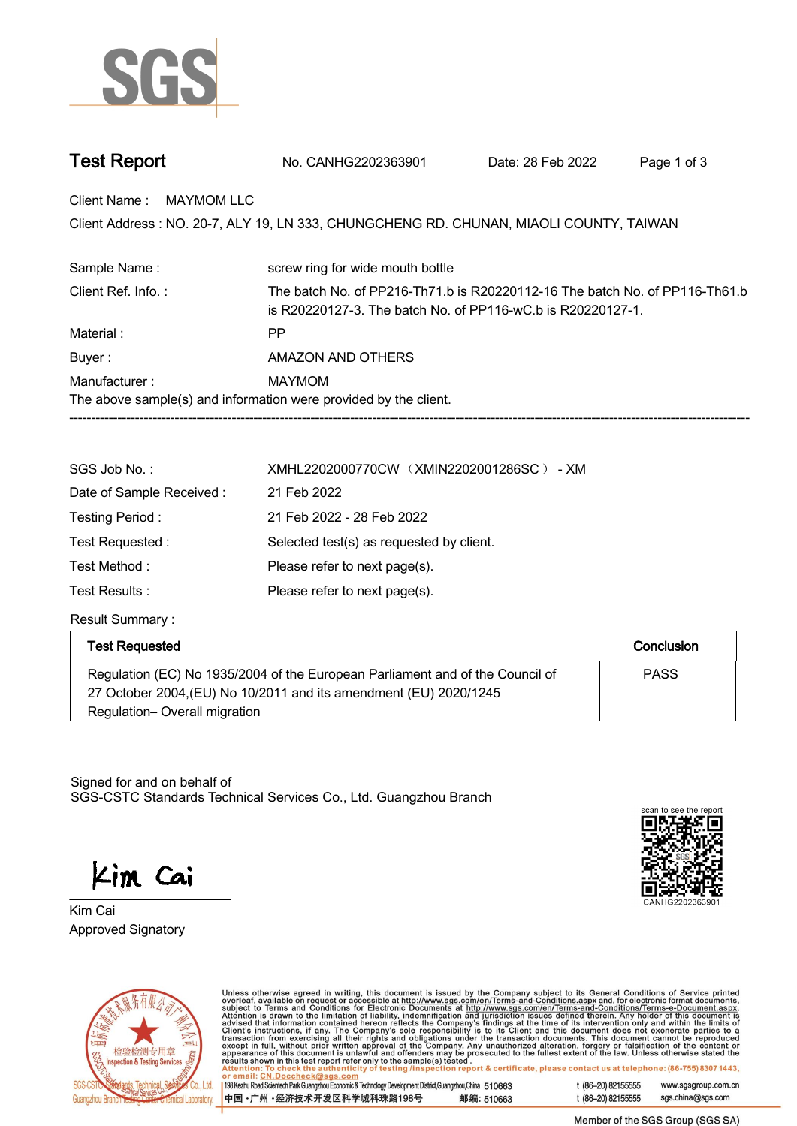

| <b>Test Report</b> | No. CANHG2202363901 | Date: 28 Feb 2022 | Page 1 of 3 |
|--------------------|---------------------|-------------------|-------------|
|--------------------|---------------------|-------------------|-------------|

**Client Name : MAYMOM LLC.**

Client Address : NO. 20-7, ALY 19, LN 333, CHUNGCHENG RD. CHUNAN, MIAOLI COUNTY, TAIWAN<br>.

| Sample Name:                                                     | screw ring for wide mouth bottle                                                                                                           |  |  |
|------------------------------------------------------------------|--------------------------------------------------------------------------------------------------------------------------------------------|--|--|
| Client Ref. Info.:                                               | The batch No. of PP216-Th71.b is R20220112-16 The batch No. of PP116-Th61.b<br>is R20220127-3. The batch No. of PP116-wC.b is R20220127-1. |  |  |
| Material :                                                       | РP                                                                                                                                         |  |  |
| Buyer:                                                           | AMAZON AND OTHERS                                                                                                                          |  |  |
| Manufacturer:                                                    | MAYMOM                                                                                                                                     |  |  |
| The above sample(s) and information were provided by the client. |                                                                                                                                            |  |  |
|                                                                  |                                                                                                                                            |  |  |

| SGS Job No.:             | XMHL2202000770CW (XMIN2202001286SC) - XM |
|--------------------------|------------------------------------------|
| Date of Sample Received: | 21 Feb 2022                              |
| Testing Period:          | 21 Feb 2022 - 28 Feb 2022                |
| Test Requested :         | Selected test(s) as requested by client. |
| Test Method:             | Please refer to next page(s).            |
| Test Results :           | Please refer to next page(s).            |

**Result Summary :.**

| <b>Test Requested</b>                                                                                                                              | Conclusion  |
|----------------------------------------------------------------------------------------------------------------------------------------------------|-------------|
| Regulation (EC) No 1935/2004 of the European Parliament and of the Council of<br>27 October 2004, (EU) No 10/2011 and its amendment (EU) 2020/1245 | <b>PASS</b> |
| Regulation-Overall migration                                                                                                                       |             |

Signed for and on behalf of SGS-CSTC Standards Technical Services Co., Ltd. Guangzhou Branch.

Kim Cai

**Approved Signatory . . . Kim Cai.**





Unless otherwise agreed in writing, this document is issued by the Company subject to its General Conditions of Service printed overleaf, available on request or accessible at http://www.sgs.com/en/Terms-and-Conditions.as

198 Kezhu Road, Scientech Park Guangzhou Economic & Technology Development District, Guangzhou, China 510663 中国·广州·经济技术开发区科学城科珠路198号 邮编: 510663 t (86-20) 82155555 www.sgsgroup.com.cn sgs.china@sgs.com t (86-20) 82155555

Member of the SGS Group (SGS SA)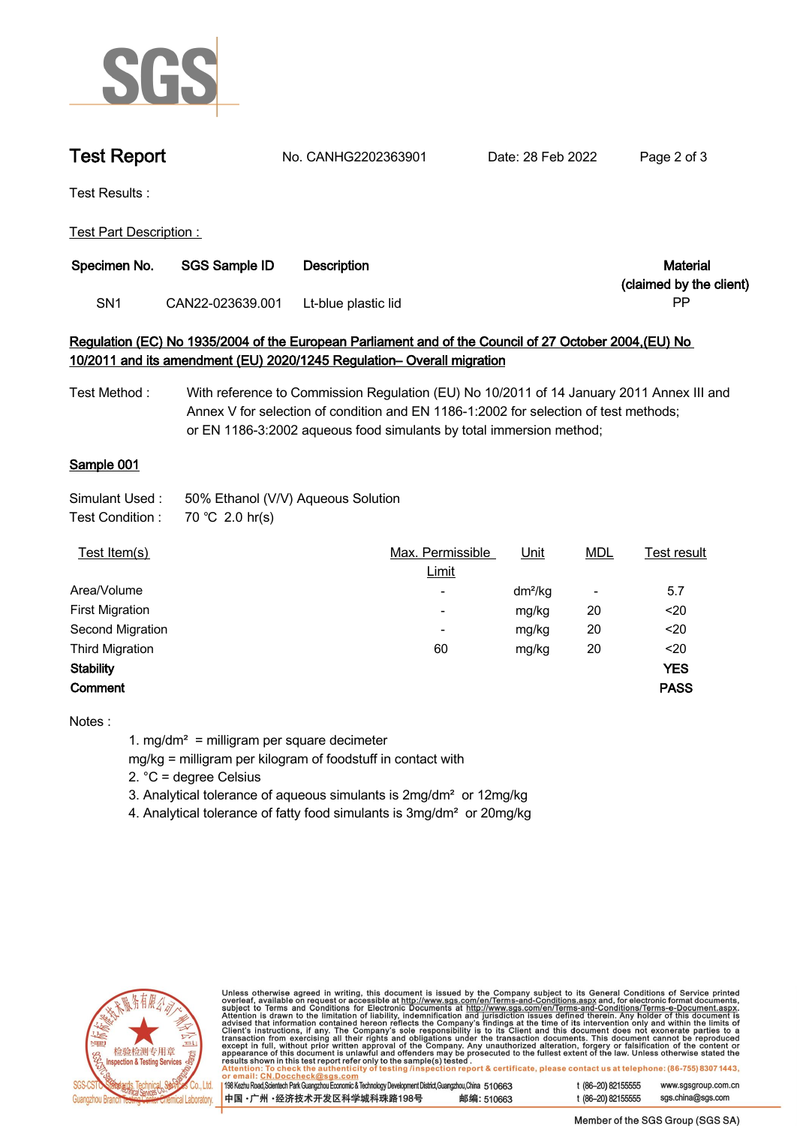

**Test Report. No. CANHG2202363901 . Date: 28 Feb 2022. Page 2 of 3.**

**Test Results :.**

**Test Part Description : .**

| Specimen No. | <b>SGS Sample ID</b> | <b>Description</b>  | Material                |
|--------------|----------------------|---------------------|-------------------------|
|              |                      |                     | (claimed by the client) |
| SN1          | CAN22-023639.001     | Lt-blue plastic lid | РP                      |

## **Regulation (EC) No 1935/2004 of the European Parliament and of the Council of 27 October 2004,(EU) No 10/2011 and its amendment (EU) 2020/1245 Regulation– Overall migration**

**Test Method : With reference to Commission Regulation (EU) No 10/2011 of 14 January 2011 Annex III and Annex V for selection of condition and EN 1186-1:2002 for selection of test methods; or EN 1186-3:2002 aqueous food simulants by total immersion method;**

## **Sample 001.**

| Simulant Used : | 50% Ethanol (V/V) Aqueous Solution |
|-----------------|------------------------------------|
|                 |                                    |

**Test Condition :. 70.℃ 2.0.hr(s).**

| Test Item(s)           | Max. Permissible         | <u>Unit</u> | <b>MDL</b>               | Test result |
|------------------------|--------------------------|-------------|--------------------------|-------------|
|                        | Limit                    |             |                          |             |
| Area/Volume            | ٠                        | $dm^2/kg$   | $\overline{\phantom{a}}$ | 5.7         |
| <b>First Migration</b> | $\overline{\phantom{0}}$ | mg/kg       | 20                       | $20$        |
| Second Migration       | $\overline{\phantom{0}}$ | mg/kg       | 20                       | $20$        |
| <b>Third Migration</b> | 60                       | mg/kg       | 20                       | $20$        |
| <b>Stability</b>       |                          |             |                          | <b>YES</b>  |
| Comment                |                          |             |                          | <b>PASS</b> |
|                        |                          |             |                          |             |

**Notes :**

**1. mg/dm² = milligram per square decimeter**

**mg/kg = milligram per kilogram of foodstuff in contact with**

**2. °C = degree Celsius**

**3. Analytical tolerance of aqueous simulants is 2mg/dm² or 12mg/kg**

**4. Analytical tolerance of fatty food simulants is 3mg/dm² or 20mg/kg .**



Unless otherwise agreed in writing, this document is issued by the Company subject to its General Conditions of Service printed overleaf, available on request or accessible at http://www.sgs.com/en/Terms-and-Conditions.as

198 Kezhu Road, Scientech Park Guangzhou Economic & Technology Development District, Guangzhou, China 510663 中国·广州·经济技术开发区科学城科珠路198号 邮编: 510663 www.sgsgroup.com.cn

sgs.china@sgs.com

t (86-20) 82155555